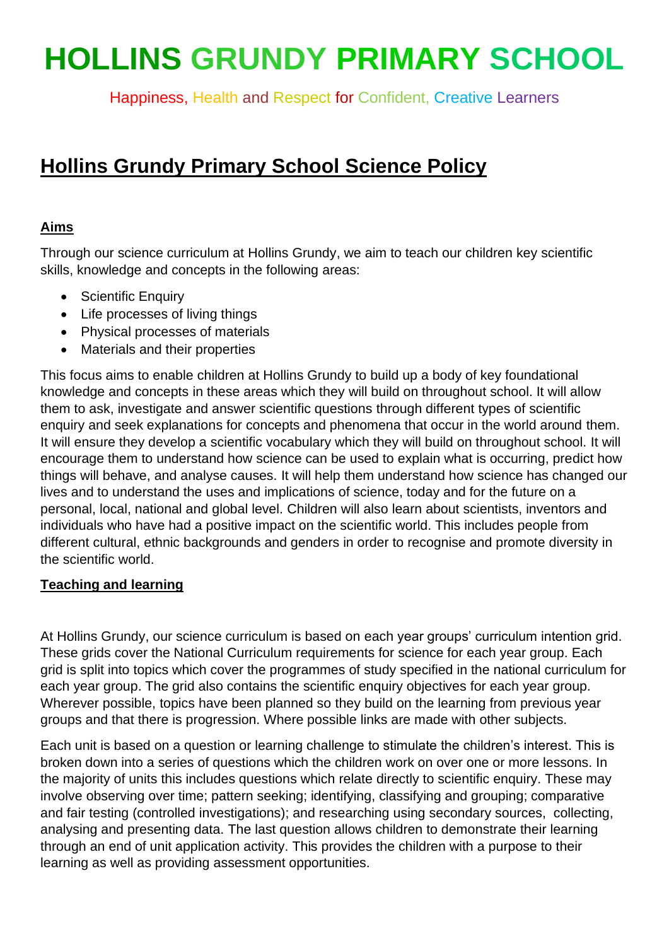# **HOLLINS GRUNDY PRIMARY SCHOOL**

Happiness, Health and Respect for Confident, Creative Learners

## **Hollins Grundy Primary School Science Policy**

#### **Aims**

Through our science curriculum at Hollins Grundy, we aim to teach our children key scientific skills, knowledge and concepts in the following areas:

- Scientific Enquiry
- Life processes of living things
- Physical processes of materials
- Materials and their properties

This focus aims to enable children at Hollins Grundy to build up a body of key foundational knowledge and concepts in these areas which they will build on throughout school. It will allow them to ask, investigate and answer scientific questions through different types of scientific enquiry and seek explanations for concepts and phenomena that occur in the world around them. It will ensure they develop a scientific vocabulary which they will build on throughout school. It will encourage them to understand how science can be used to explain what is occurring, predict how things will behave, and analyse causes. It will help them understand how science has changed our lives and to understand the uses and implications of science, today and for the future on a personal, local, national and global level. Children will also learn about scientists, inventors and individuals who have had a positive impact on the scientific world. This includes people from different cultural, ethnic backgrounds and genders in order to recognise and promote diversity in the scientific world.

### **Teaching and learning**

At Hollins Grundy, our science curriculum is based on each year groups' curriculum intention grid. These grids cover the National Curriculum requirements for science for each year group. Each grid is split into topics which cover the programmes of study specified in the national curriculum for each year group. The grid also contains the scientific enquiry objectives for each year group. Wherever possible, topics have been planned so they build on the learning from previous year groups and that there is progression. Where possible links are made with other subjects.

Each unit is based on a question or learning challenge to stimulate the children's interest. This is broken down into a series of questions which the children work on over one or more lessons. In the majority of units this includes questions which relate directly to scientific enquiry. These may involve observing over time; pattern seeking; identifying, classifying and grouping; comparative and fair testing (controlled investigations); and researching using secondary sources, collecting, analysing and presenting data. The last question allows children to demonstrate their learning through an end of unit application activity. This provides the children with a purpose to their learning as well as providing assessment opportunities.